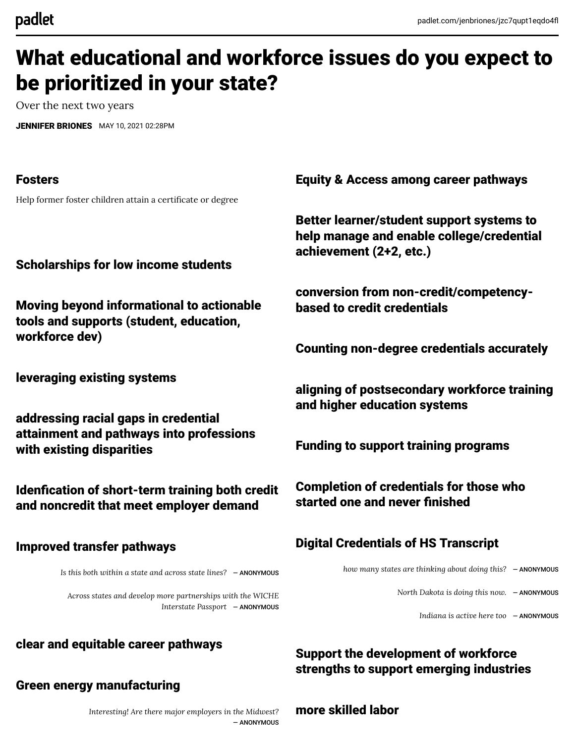# What educational and workforce issues do you expect to be prioritized in your state?

Over the next two years

[JENNIFER BRIONES](https://padlet.com/jenbriones) MAY 10, 2021 02:28PM

## Fosters

Help former foster children attain a certificate or degree

Scholarships for low income students

Moving beyond informational to actionable tools and supports (student, education, workforce dev)

leveraging existing systems

addressing racial gaps in credential attainment and pathways into professions with existing disparities

Idenfication of short-term training both credit and noncredit that meet employer demand

## Improved transfer pathways

*Is this both within a state and across state lines?* ― ANONYMOUS

*Across states and develop more partnerships with the WICHE Interstate Passport* ― ANONYMOUS

## clear and equitable career pathways

## Green energy manufacturing

*Interesting! Are there major employers in the Midwest?* ― ANONYMOUS Equity & Access among career pathways

Better learner/student support systems to help manage and enable college/credential achievement (2+2, etc.)

conversion from non-credit/competencybased to credit credentials

Counting non-degree credentials accurately

aligning of postsecondary workforce training and higher education systems

Funding to support training programs

Completion of credentials for those who started one and never finished

# Digital Credentials of HS Transcript

*how many states are thinking about doing this?* ― ANONYMOUS

*North Dakota is doing this now.* ― ANONYMOUS

*Indiana is active here too* ― ANONYMOUS

# Support the development of workforce strengths to support emerging industries

## more skilled labor